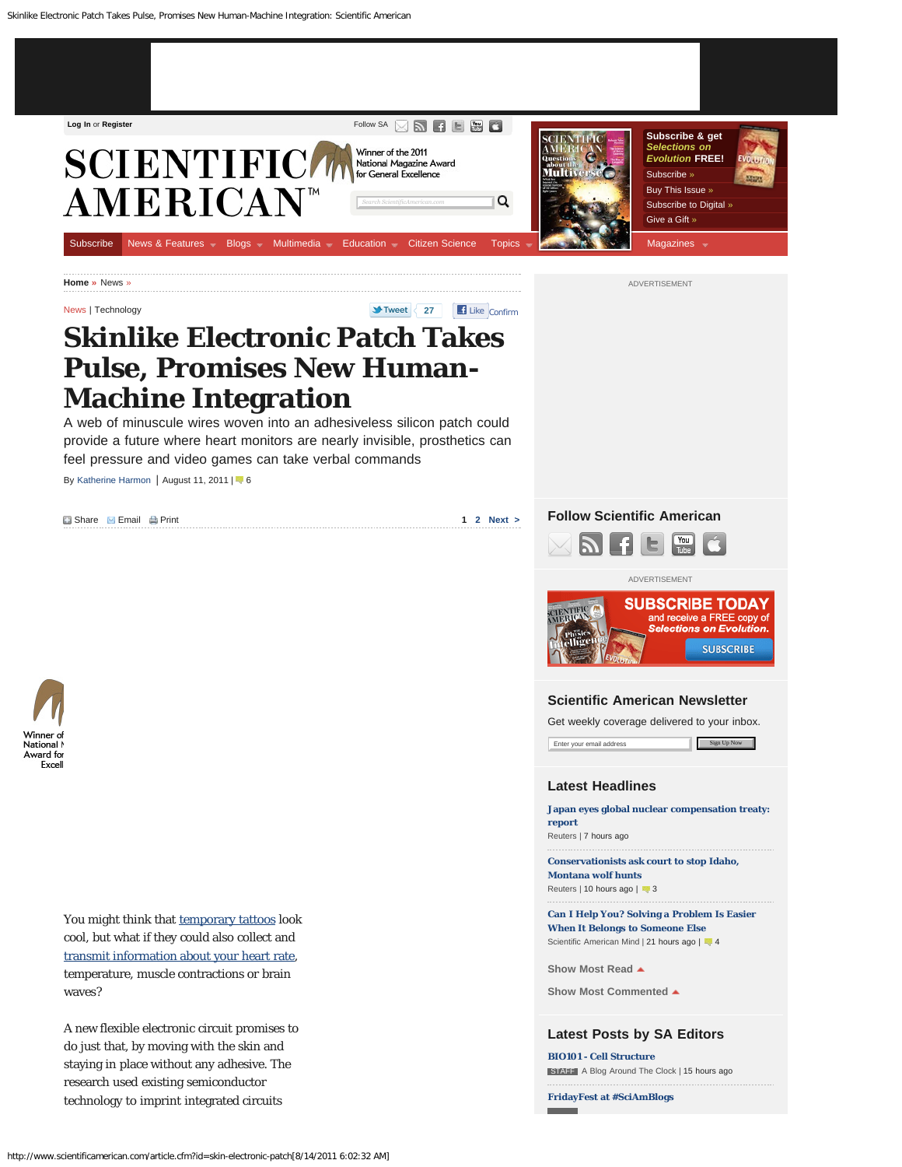<span id="page-0-0"></span>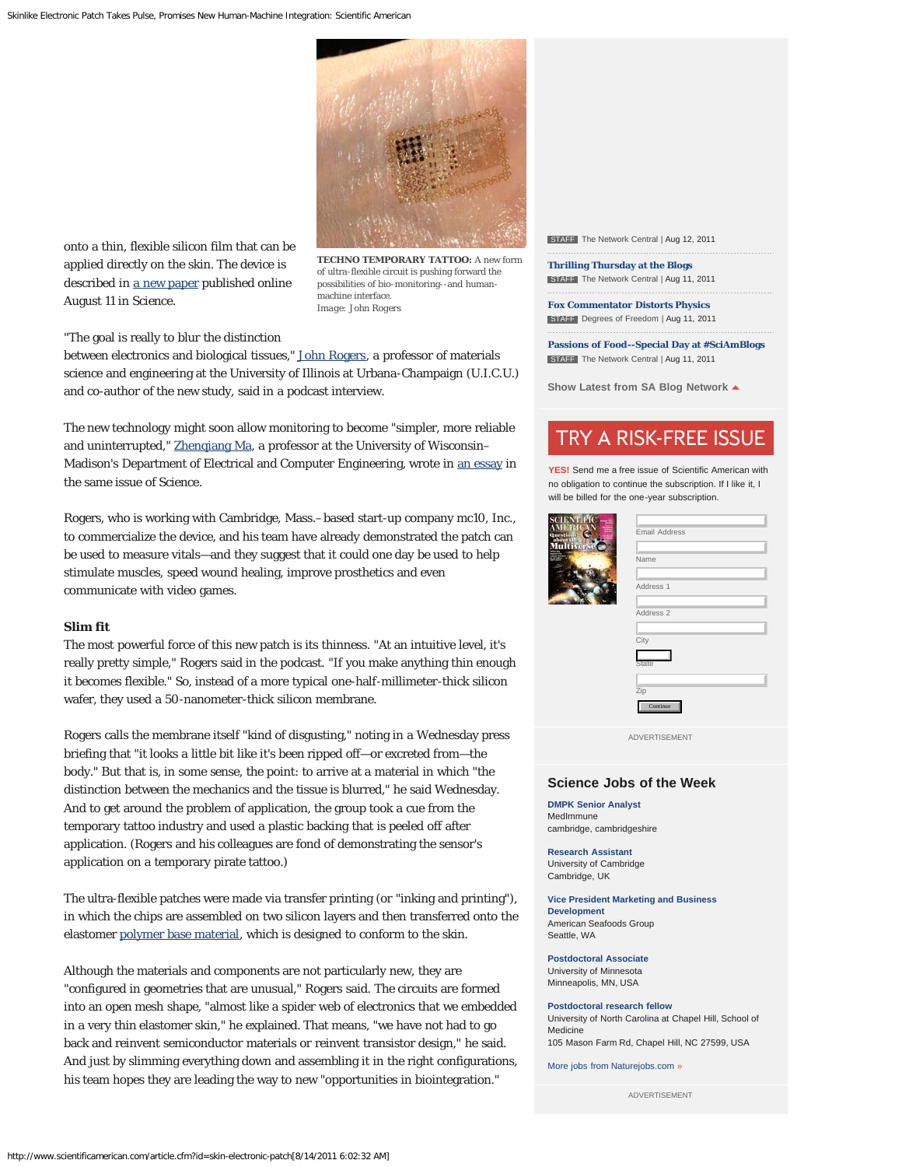

onto a thin, flexible silicon film that can be applied directly on the skin. The device is described in [a new paper](http://www.sciencemag.org/content/333/6044/838.abstract) published online August 11 in *Science*.

**TECHNO TEMPORARY TATTOO:** A new form of ultra-flexible circuit is pushing forward the possibilities of bio-monitoring--and humanmachine interface. *Image: John Rogers*

"The goal is really to blur the distinction

between electronics and biological tissues," [John Rogers](http://www.matse.illinois.edu/faculty/Rogers.html), a professor of materials science and engineering at the University of Illinois at Urbana-Champaign (U.I.C.U.) and co-author of the new study, said in a podcast interview.

The new technology might soon allow monitoring to become "simpler, more reliable and uninterrupted," [Zhenqiang Ma,](http://www.ece.wisc.edu/~mazq/index.htm) a professor at the University of Wisconsin– Madison's Department of Electrical and Computer Engineering, wrote in [an essay](http://www.sciencemag.org/content/333/6044/830) in the same issue of *Science*.

Rogers, who is working with Cambridge, Mass.–based start-up company mc10, Inc., to commercialize the device, and his team have already demonstrated the patch can be used to measure vitals—and they suggest that it could one day be used to help stimulate muscles, speed wound healing, improve prosthetics and even communicate with video games.

### **Slim fit**

The most powerful force of this new patch is its thinness. "At an intuitive level, it's really pretty simple," Rogers said in the podcast. "If you make anything thin enough it becomes flexible." So, instead of a more typical one-half-millimeter-thick silicon wafer, they used a 50-nanometer-thick silicon membrane.

Rogers calls the membrane itself "kind of disgusting," noting in a Wednesday press briefing that "it looks a little bit like it's been ripped off—or excreted from—the body." But that is, in some sense, the point: to arrive at a material in which "the distinction between the mechanics and the tissue is blurred," he said Wednesday. And to get around the problem of application, the group took a cue from the temporary tattoo industry and used a plastic backing that is peeled off after application. (Rogers and his colleagues are fond of demonstrating the sensor's application on a temporary pirate tattoo.)

The ultra-flexible patches were made via transfer printing (or "inking and printing"), in which the chips are assembled on two silicon layers and then transferred onto the elastomer [polymer base material](http://www.scientificamerican.com/article.cfm?id=robotic-fish), which is designed to conform to the skin.

Although the materials and components are not particularly new, they are "configured in geometries that are unusual," Rogers said. The circuits are formed into an open mesh shape, "almost like a spider web of electronics that we embedded in a very thin elastomer skin," he explained. That means, "we have not had to go back and reinvent semiconductor materials or reinvent transistor design," he said. And just by slimming everything down and assembling it in the right configurations, his team hopes they are leading the way to new "opportunities in biointegration."

**STAFF** The Network Central | Aug 12, 2011

**[Thrilling Thursday at the Blogs](http://blogs.scientificamerican.com/network-central/thrilling-thursday-at-the-blogs-2)** STAFF The Network Central | Aug 11, 2011

**[Fox Commentator Distorts Physics](http://blogs.scientificamerican.com/degrees-of-freedom/fox-commentator-distorts-physics)** STAFF Degrees of Freedom | Aug 11, 2011

**[Passions of Food--Special Day at #SciAmBlogs](http://blogs.scientificamerican.com/network-central/passions-of-food-day-at-sciamblogs)** STAFF The Network Central | Aug 11, 2011

**Show Latest from SA Blog Network**

# TRY A RISK-FREE ISSUE

**YES!** Send me a free issue of Scientific American with no obligation to continue the subscription. If I like it, I will be billed for the one-year subscription.

| Email Address |
|---------------|
|               |
| Name          |
|               |
| Address 1     |
|               |
| Address 2     |
|               |
| City          |
| <b>State</b>  |
|               |
| Zip           |
|               |
| Continue      |

ADVERTISEMENT

#### **Science Jobs of the Week**

**[DMPK Senior Analyst](http://www.scientificamerican.com/naturejobs/index.cfm?method=job&id=215548)** MedImmune cambridge, cambridgeshire

**ALGER** 

**[Research Assistant](http://www.scientificamerican.com/naturejobs/index.cfm?method=job&id=215547)** University of Cambridge Cambridge, UK

**[Vice President Marketing and Business](http://www.scientificamerican.com/naturejobs/index.cfm?method=job&id=211078) [Development](http://www.scientificamerican.com/naturejobs/index.cfm?method=job&id=211078)** American Seafoods Group Seattle, WA

**[Postdoctoral Associate](http://www.scientificamerican.com/naturejobs/index.cfm?method=job&id=165819)** University of Minnesota Minneapolis, MN, USA

**[Postdoctoral research fellow](http://www.scientificamerican.com/naturejobs/index.cfm?method=job&id=161934)** University of North Carolina at Chapel Hill, School of Medicine 105 Mason Farm Rd, Chapel Hill, NC 27599, USA

[More jobs from Naturejobs.com](http://www.scientificamerican.com/naturejobs/) [»](http://www.scientificamerican.com/naturejobs/)

ADVERTISEMENT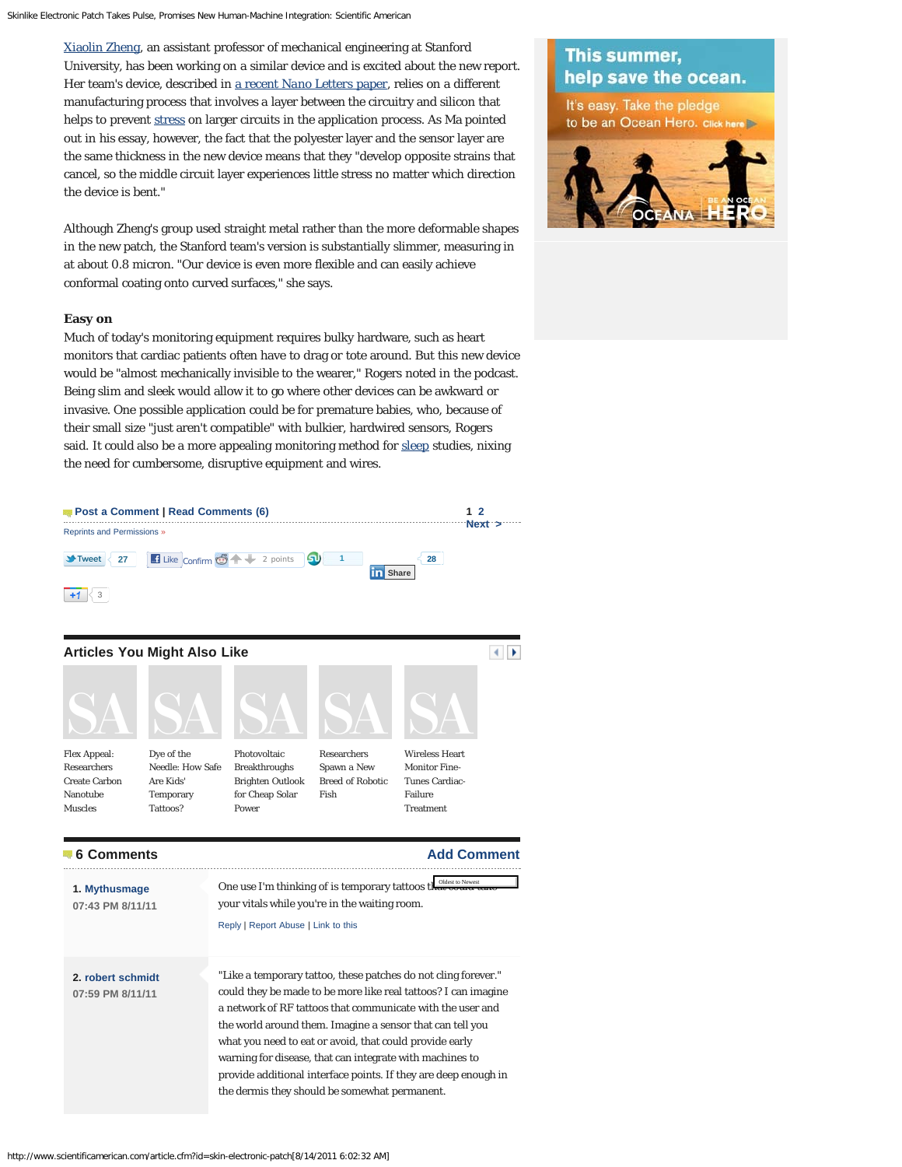[Xiaolin Zheng,](http://soe.stanford.edu/research/layout.php?sunetid=xlzheng) an assistant professor of mechanical engineering at Stanford University, has been working on a similar device and is excited about the new report. Her team's device, described in [a recent](http://pubs.acs.org/doi/abs/10.1021/nl201901z) *[Nano Letters](http://pubs.acs.org/doi/abs/10.1021/nl201901z)* [paper,](http://pubs.acs.org/doi/abs/10.1021/nl201901z) relies on a different manufacturing process that involves a layer between the circuitry and silicon that helps to prevent [stress](http://www.scientificamerican.com/topic.cfm?id=stress) on larger circuits in the application process. As Ma pointed out in his essay, however, the fact that the polyester layer and the sensor layer are the same thickness in the new device means that they "develop opposite strains that cancel, so the middle circuit layer experiences little stress no matter which direction the device is bent."

Although Zheng's group used straight metal rather than the more deformable shapes in the new patch, the Stanford team's version is substantially slimmer, measuring in at about 0.8 micron. "Our device is even more flexible and can easily achieve conformal coating onto curved surfaces," she says.

### **Easy on**

Much of today's monitoring equipment requires bulky hardware, such as heart monitors that cardiac patients often have to drag or tote around. But this new device would be "almost mechanically invisible to the wearer," Rogers noted in the podcast. Being slim and sleek would allow it to go where other devices can be awkward or invasive. One possible application could be for premature babies, who, because of their small size "just aren't compatible" with bulkier, hardwired sensors, Rogers said. It could also be a more appealing monitoring method for [sleep](http://www.scientificamerican.com/topic.cfm?id=sleep) studies, nixing the need for cumbersome, disruptive equipment and wires.

<span id="page-2-0"></span>

# This summer, help save the ocean.

It's easy. Take the pledge to be an Ocean Hero. Click here

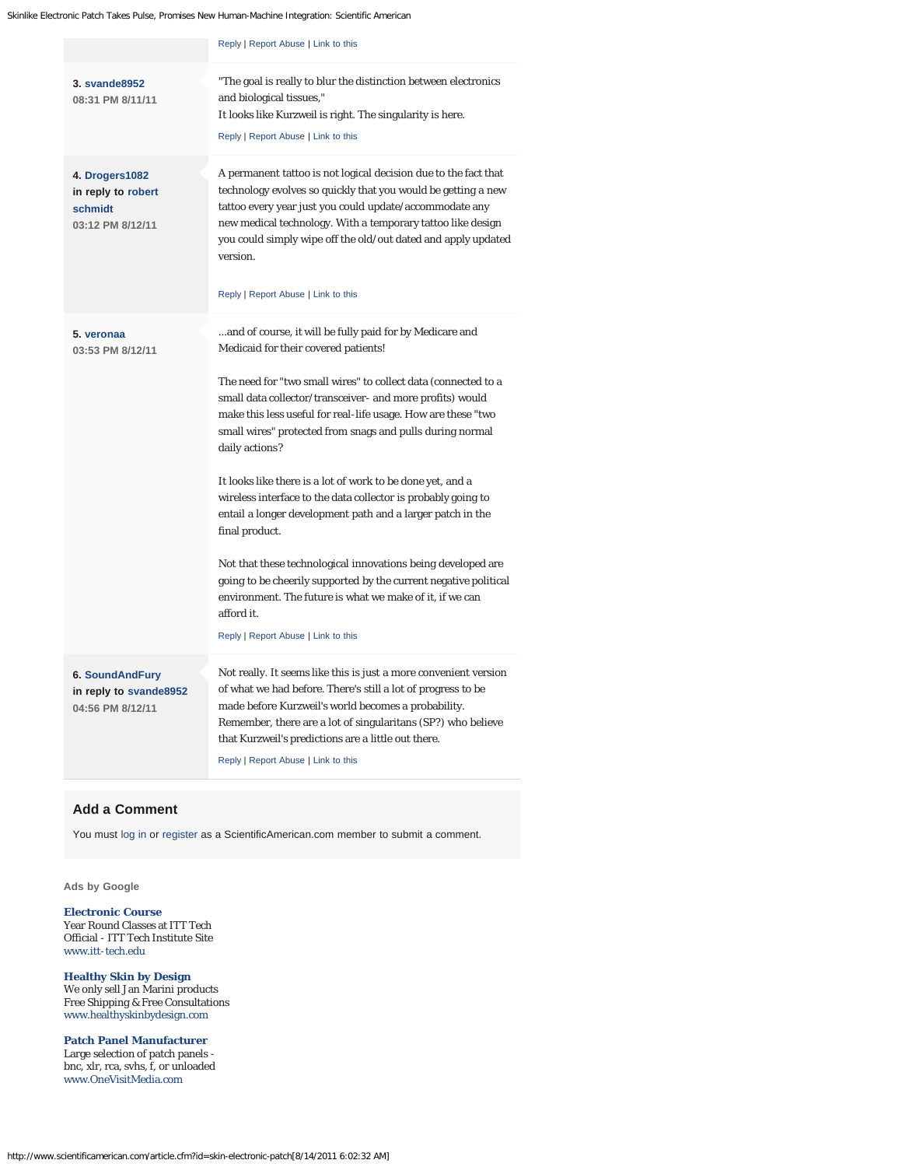<span id="page-3-5"></span><span id="page-3-4"></span><span id="page-3-3"></span><span id="page-3-2"></span><span id="page-3-0"></span>

|                                                                      | Reply   Report Abuse   Link to this                                                                                                                                                                                                                                                                                                                                                                                                                                                                                                                                                                                                                                                                                                                                                                                                                 |
|----------------------------------------------------------------------|-----------------------------------------------------------------------------------------------------------------------------------------------------------------------------------------------------------------------------------------------------------------------------------------------------------------------------------------------------------------------------------------------------------------------------------------------------------------------------------------------------------------------------------------------------------------------------------------------------------------------------------------------------------------------------------------------------------------------------------------------------------------------------------------------------------------------------------------------------|
| 3. svande8952<br>08:31 PM 8/11/11                                    | "The goal is really to blur the distinction between electronics"<br>and biological tissues,"<br>It looks like Kurzweil is right. The singularity is here.<br>Reply   Report Abuse   Link to this                                                                                                                                                                                                                                                                                                                                                                                                                                                                                                                                                                                                                                                    |
| 4. Drogers1082<br>in reply to robert<br>schmidt<br>03:12 PM 8/12/11  | A permanent tattoo is not logical decision due to the fact that<br>technology evolves so quickly that you would be getting a new<br>tattoo every year just you could update/accommodate any<br>new medical technology. With a temporary tattoo like design<br>you could simply wipe off the old/out dated and apply updated<br>version.<br>Reply   Report Abuse   Link to this                                                                                                                                                                                                                                                                                                                                                                                                                                                                      |
| 5. veronaa<br>03:53 PM 8/12/11                                       | and of course, it will be fully paid for by Medicare and<br>Medicaid for their covered patients!<br>The need for "two small wires" to collect data (connected to a<br>small data collector/transceiver- and more profits) would<br>make this less useful for real-life usage. How are these "two<br>small wires" protected from snags and pulls during normal<br>daily actions?<br>It looks like there is a lot of work to be done yet, and a<br>wireless interface to the data collector is probably going to<br>entail a longer development path and a larger patch in the<br>final product.<br>Not that these technological innovations being developed are<br>going to be cheerily supported by the current negative political<br>environment. The future is what we make of it, if we can<br>afford it.<br>Reply   Report Abuse   Link to this |
| <b>6. SoundAndFury</b><br>in reply to svande8952<br>04:56 PM 8/12/11 | Not really. It seems like this is just a more convenient version<br>of what we had before. There's still a lot of progress to be<br>made before Kurzweil's world becomes a probability.<br>Remember, there are a lot of singularitans (SP?) who believe<br>that Kurzweil's predictions are a little out there.<br>Reply   Report Abuse   Link to this                                                                                                                                                                                                                                                                                                                                                                                                                                                                                               |

## <span id="page-3-6"></span><span id="page-3-1"></span>**Add a Comment**

You must [log in](http://www.scientificamerican.com/page.cfm?section=log-in) or [register](http://www.scientificamerican.com/page.cfm?section=register) as a ScientificAmerican.com member to submit a comment.

**[Ads by Google](http://www.google.com/url?ct=abg&q=https://www.google.com/adsense/support/bin/request.py%3Fcontact%3Dabg_afc%26url%3Dhttp://www.scientificamerican.com/article.cfm%253Fid%253Dskin-electronic-patch%26hl%3Den%26client%3Dca-pub-9188973542110640%26adU%3Dwww.itt-tech.edu%26adT%3DElectronic%2BCourse%26adU%3Dwww.healthyskinbydesign.com%26adT%3DHealthy%2BSkin%2Bby%2BDesign%26adU%3Dwww.OneVisitMedia.com%26adT%3DPatch%2BPanel%2BManufacturer%26gl%3DUS&usg=AFQjCNFC_EM6XMcF6VMJdXW4cMABwyps6Q)**

#### **[Electronic Course](http://googleads.g.doubleclick.net/aclk?sa=l&ai=BpX8OI6tHTuW4HPOCgALU1PHhCrrg644C8saPuizAjbcBwLSnAhABGAEggJ2AAigDOABQyNXF9vv_____AWDJrqGI8KOkFKAB7vSZ2gOyARp3d3cuc2NpZW50aWZpY2FtZXJpY2FuLmNvbboBCTcyOHg5MF9qc8gBAdoBRmh0dHA6Ly93d3cuc2NpZW50aWZpY2FtZXJpY2FuLmNvbS9hcnRpY2xlLmNmbT9pZD1za2luLWVsZWN0cm9uaWMtcGF0Y2jIArq3wBmoAwHoAwXoA6QD6AO7A_UDAAAARA&num=1&sig=AOD64_1uKph-ia2uEQNb44-pddHDcsPMXQ&client=ca-pub-9188973542110640&adurl=http://www2.itt-tech.edu/electronicstech/d/%3Fcode%3D11839574274%7Celectronic%2520course)** Year Round Classes at ITT Tech Official - ITT Tech Institute Site [www.itt-tech.edu](http://googleads.g.doubleclick.net/aclk?sa=l&ai=BpX8OI6tHTuW4HPOCgALU1PHhCrrg644C8saPuizAjbcBwLSnAhABGAEggJ2AAigDOABQyNXF9vv_____AWDJrqGI8KOkFKAB7vSZ2gOyARp3d3cuc2NpZW50aWZpY2FtZXJpY2FuLmNvbboBCTcyOHg5MF9qc8gBAdoBRmh0dHA6Ly93d3cuc2NpZW50aWZpY2FtZXJpY2FuLmNvbS9hcnRpY2xlLmNmbT9pZD1za2luLWVsZWN0cm9uaWMtcGF0Y2jIArq3wBmoAwHoAwXoA6QD6AO7A_UDAAAARA&num=1&sig=AOD64_1uKph-ia2uEQNb44-pddHDcsPMXQ&client=ca-pub-9188973542110640&adurl=http://www2.itt-tech.edu/electronicstech/d/%3Fcode%3D11839574274%7Celectronic%2520course)

**[Healthy Skin by Design](http://googleads.g.doubleclick.net/aclk?sa=l&ai=BbV2KI6tHTuW4HPOCgALU1PHhCujV27wBtO3_igzAjbcBsPTOARACGAIggJ2AAigDOABQ0M_b6f7_____AWDJrqGI8KOkFKABvN-n_gOyARp3d3cuc2NpZW50aWZpY2FtZXJpY2FuLmNvbboBCTcyOHg5MF9qc8gBAdoBRmh0dHA6Ly93d3cuc2NpZW50aWZpY2FtZXJpY2FuLmNvbS9hcnRpY2xlLmNmbT9pZD1za2luLWVsZWN0cm9uaWMtcGF0Y2ioAwHoAwXoA6QD6AO7A_UDAAAARA&num=2&sig=AOD64_3azs1604x_LaRWFR2XK4opBLkUow&client=ca-pub-9188973542110640&adurl=http://www.healthyskinbydesign.com)** We only sell Jan Marini products Free Shipping & Free Consultations [www.healthyskinbydesign.com](http://googleads.g.doubleclick.net/aclk?sa=l&ai=BbV2KI6tHTuW4HPOCgALU1PHhCujV27wBtO3_igzAjbcBsPTOARACGAIggJ2AAigDOABQ0M_b6f7_____AWDJrqGI8KOkFKABvN-n_gOyARp3d3cuc2NpZW50aWZpY2FtZXJpY2FuLmNvbboBCTcyOHg5MF9qc8gBAdoBRmh0dHA6Ly93d3cuc2NpZW50aWZpY2FtZXJpY2FuLmNvbS9hcnRpY2xlLmNmbT9pZD1za2luLWVsZWN0cm9uaWMtcGF0Y2ioAwHoAwXoA6QD6AO7A_UDAAAARA&num=2&sig=AOD64_3azs1604x_LaRWFR2XK4opBLkUow&client=ca-pub-9188973542110640&adurl=http://www.healthyskinbydesign.com)

**[Patch Panel Manufacturer](http://googleads.g.doubleclick.net/aclk?sa=L&ai=Bf0AoI6tHTuW4HPOCgALU1PHhCrCoyCLc76m7AsCNtwGw1DIQAxgDIICdgAIoAzgAUMyT6er4_____wFgya6hiPCjpBSyARp3d3cuc2NpZW50aWZpY2FtZXJpY2FuLmNvbboBCTcyOHg5MF9qc8gBAdoBRmh0dHA6Ly93d3cuc2NpZW50aWZpY2FtZXJpY2FuLmNvbS9hcnRpY2xlLmNmbT9pZD1za2luLWVsZWN0cm9uaWMtcGF0Y2ioAwHoAwXoA6QD6AO7A_UDAAAARA&num=3&sig=AOD64_3AGsoGop4BnVb56PYtLfDs70cPbQ&client=ca-pub-9188973542110640&adurl=http://www.OneVisitMedia.com)** Large selection of patch panels bnc, xlr, rca, svhs, f, or unloaded [www.OneVisitMedia.com](http://googleads.g.doubleclick.net/aclk?sa=L&ai=Bf0AoI6tHTuW4HPOCgALU1PHhCrCoyCLc76m7AsCNtwGw1DIQAxgDIICdgAIoAzgAUMyT6er4_____wFgya6hiPCjpBSyARp3d3cuc2NpZW50aWZpY2FtZXJpY2FuLmNvbboBCTcyOHg5MF9qc8gBAdoBRmh0dHA6Ly93d3cuc2NpZW50aWZpY2FtZXJpY2FuLmNvbS9hcnRpY2xlLmNmbT9pZD1za2luLWVsZWN0cm9uaWMtcGF0Y2ioAwHoAwXoA6QD6AO7A_UDAAAARA&num=3&sig=AOD64_3AGsoGop4BnVb56PYtLfDs70cPbQ&client=ca-pub-9188973542110640&adurl=http://www.OneVisitMedia.com)